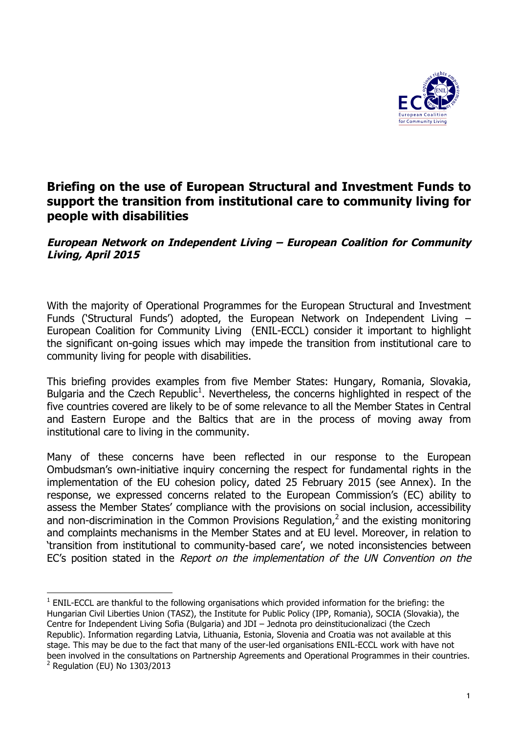

# **Briefing on the use of European Structural and Investment Funds to support the transition from institutional care to community living for people with disabilities**

### **European Network on Independent Living – European Coalition for Community Living, April 2015**

With the majority of Operational Programmes for the European Structural and Investment Funds ('Structural Funds') adopted, the European Network on Independent Living – European Coalition for Community Living (ENIL-ECCL) consider it important to highlight the significant on-going issues which may impede the transition from institutional care to community living for people with disabilities.

This briefing provides examples from five Member States: Hungary, Romania, Slovakia, Bulgaria and the Czech Republic<sup>1</sup>. Nevertheless, the concerns highlighted in respect of the five countries covered are likely to be of some relevance to all the Member States in Central and Eastern Europe and the Baltics that are in the process of moving away from institutional care to living in the community.

Many of these concerns have been reflected in our response to the European Ombudsman's own-initiative inquiry concerning the respect for fundamental rights in the implementation of the EU cohesion policy, dated 25 February 2015 (see Annex). In the response, we expressed concerns related to the European Commission's (EC) ability to assess the Member States' compliance with the provisions on social inclusion, accessibility and non-discrimination in the Common Provisions Regulation,<sup>2</sup> and the existing monitoring and complaints mechanisms in the Member States and at EU level. Moreover, in relation to 'transition from institutional to community-based care', we noted inconsistencies between EC's position stated in the Report on the implementation of the UN Convention on the

  $1$  ENIL-ECCL are thankful to the following organisations which provided information for the briefing: the Hungarian Civil Liberties Union (TASZ), the Institute for Public Policy (IPP, Romania), SOCIA (Slovakia), the Centre for Independent Living Sofia (Bulgaria) and JDI – Jednota pro deinstitucionalizaci (the Czech Republic). Information regarding Latvia, Lithuania, Estonia, Slovenia and Croatia was not available at this stage. This may be due to the fact that many of the user-led organisations ENIL-ECCL work with have not been involved in the consultations on Partnership Agreements and Operational Programmes in their countries.  $<sup>2</sup>$  Regulation (EU) No 1303/2013</sup>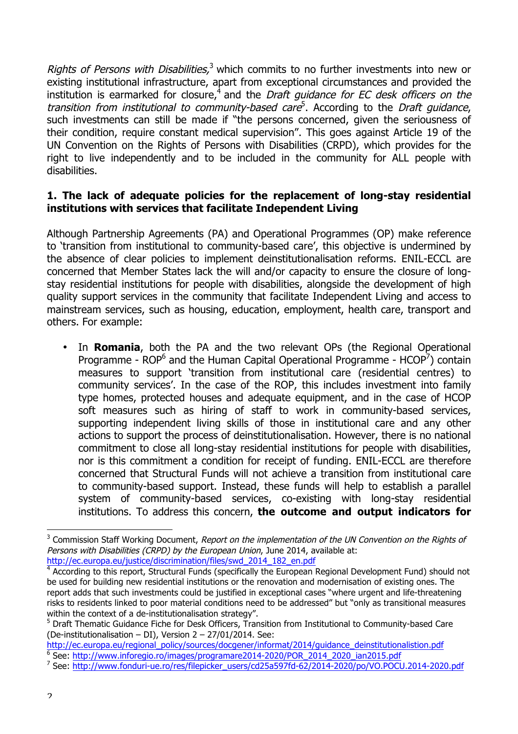Rights of Persons with Disabilities,<sup>3</sup> which commits to no further investments into new or existing institutional infrastructure, apart from exceptional circumstances and provided the institution is earmarked for closure,<sup>4</sup> and the *Draft guidance for EC desk officers on the* transition from institutional to community-based care<sup>5</sup>. According to the Draft guidance, such investments can still be made if "the persons concerned, given the seriousness of their condition, require constant medical supervision". This goes against Article 19 of the UN Convention on the Rights of Persons with Disabilities (CRPD), which provides for the right to live independently and to be included in the community for ALL people with disabilities.

## **1. The lack of adequate policies for the replacement of long-stay residential institutions with services that facilitate Independent Living**

Although Partnership Agreements (PA) and Operational Programmes (OP) make reference to 'transition from institutional to community-based care', this objective is undermined by the absence of clear policies to implement deinstitutionalisation reforms. ENIL-ECCL are concerned that Member States lack the will and/or capacity to ensure the closure of longstay residential institutions for people with disabilities, alongside the development of high quality support services in the community that facilitate Independent Living and access to mainstream services, such as housing, education, employment, health care, transport and others. For example:

• In **Romania**, both the PA and the two relevant OPs (the Regional Operational Programme -  $ROP^6$  and the Human Capital Operational Programme -  $HCOP^7$ ) contain measures to support 'transition from institutional care (residential centres) to community services'. In the case of the ROP, this includes investment into family type homes, protected houses and adequate equipment, and in the case of HCOP soft measures such as hiring of staff to work in community-based services, supporting independent living skills of those in institutional care and any other actions to support the process of deinstitutionalisation. However, there is no national commitment to close all long-stay residential institutions for people with disabilities, nor is this commitment a condition for receipt of funding. ENIL-ECCL are therefore concerned that Structural Funds will not achieve a transition from institutional care to community-based support. Instead, these funds will help to establish a parallel system of community-based services, co-existing with long-stay residential institutions. To address this concern, **the outcome and output indicators for** 

<sup>&</sup>lt;sup>3</sup> Commission Staff Working Document, Report on the implementation of the UN Convention on the Rights of Persons with Disabilities (CRPD) by the European Union, June 2014, available at: http://ec.europa.eu/justice/discrimination/files/swd\_2014\_182\_en.pdf

<sup>&</sup>lt;sup>4</sup> According to this report, Structural Funds (specifically the European Regional Development Fund) should not be used for building new residential institutions or the renovation and modernisation of existing ones. The report adds that such investments could be justified in exceptional cases "where urgent and life-threatening risks to residents linked to poor material conditions need to be addressed" but "only as transitional measures within the context of a de-institutionalisation strategy".

<sup>&</sup>lt;sup>5</sup> Draft Thematic Guidance Fiche for Desk Officers, Transition from Institutional to Community-based Care (De-institutionalisation – DI), Version 2 – 27/01/2014. See:

http://ec.europa.eu/regional\_policy/sources/docgener/informat/2014/guidance\_deinstitutionalistion.pdf <sup>6</sup> See: http://www.inforegio.ro/images/programare2014-2020/POR\_2014\_2020\_ian2015.pdf

<sup>7</sup> See: http://www.fonduri-ue.ro/res/filepicker\_users/cd25a597fd-62/2014-2020/po/VO.POCU.2014-2020.pdf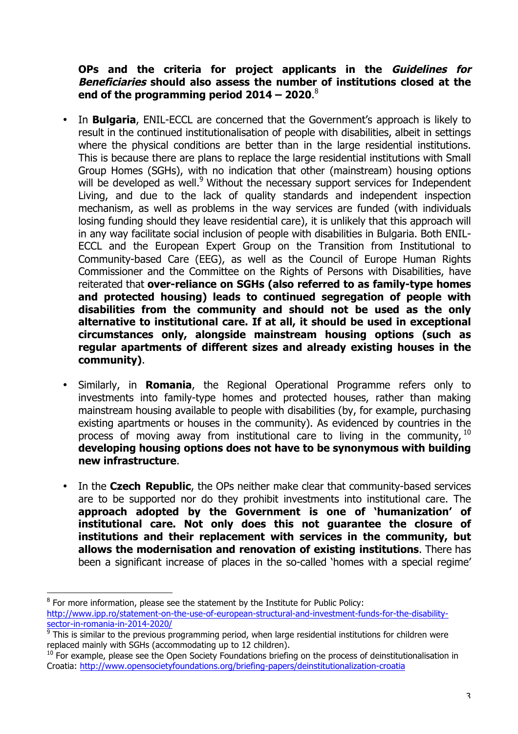### **OPs and the criteria for project applicants in the Guidelines for Beneficiaries should also assess the number of institutions closed at the end of the programming period 2014 – 2020**. 8

- In **Bulgaria**, ENIL-ECCL are concerned that the Government's approach is likely to result in the continued institutionalisation of people with disabilities, albeit in settings where the physical conditions are better than in the large residential institutions. This is because there are plans to replace the large residential institutions with Small Group Homes (SGHs), with no indication that other (mainstream) housing options will be developed as well.<sup>9</sup> Without the necessary support services for Independent Living, and due to the lack of quality standards and independent inspection mechanism, as well as problems in the way services are funded (with individuals losing funding should they leave residential care), it is unlikely that this approach will in any way facilitate social inclusion of people with disabilities in Bulgaria. Both ENIL-ECCL and the European Expert Group on the Transition from Institutional to Community-based Care (EEG), as well as the Council of Europe Human Rights Commissioner and the Committee on the Rights of Persons with Disabilities, have reiterated that **over-reliance on SGHs (also referred to as family-type homes and protected housing) leads to continued segregation of people with disabilities from the community and should not be used as the only alternative to institutional care. If at all, it should be used in exceptional circumstances only, alongside mainstream housing options (such as regular apartments of different sizes and already existing houses in the community)**.
- Similarly, in **Romania**, the Regional Operational Programme refers only to investments into family-type homes and protected houses, rather than making mainstream housing available to people with disabilities (by, for example, purchasing existing apartments or houses in the community). As evidenced by countries in the process of moving away from institutional care to living in the community, <sup>10</sup> **developing housing options does not have to be synonymous with building new infrastructure**.
- In the **Czech Republic**, the OPs neither make clear that community-based services are to be supported nor do they prohibit investments into institutional care. The **approach adopted by the Government is one of 'humanization' of institutional care. Not only does this not guarantee the closure of institutions and their replacement with services in the community, but allows the modernisation and renovation of existing institutions**. There has been a significant increase of places in the so-called 'homes with a special regime'

  $8$  For more information, please see the statement by the Institute for Public Policy: http://www.ipp.ro/statement-on-the-use-of-european-structural-and-investment-funds-for-the-disabilitysector-in-romania-in-2014-2020/

 $9$  This is similar to the previous programming period, when large residential institutions for children were replaced mainly with SGHs (accommodating up to 12 children).

 $10$  For example, please see the Open Society Foundations briefing on the process of deinstitutionalisation in Croatia: http://www.opensocietyfoundations.org/briefing-papers/deinstitutionalization-croatia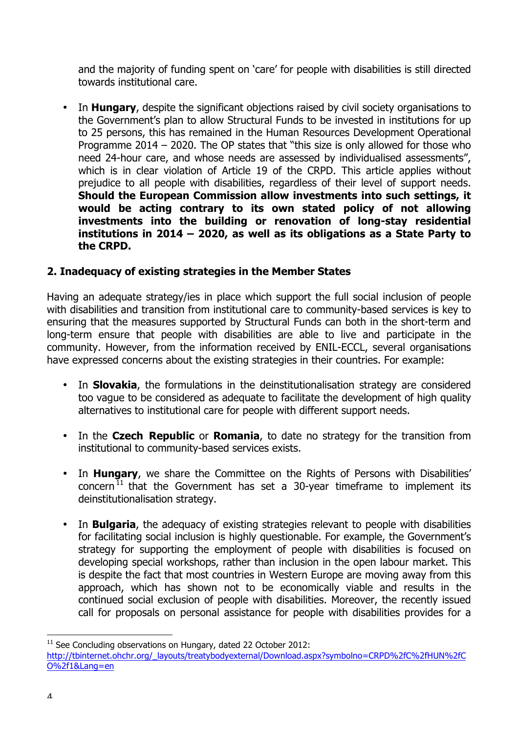and the majority of funding spent on 'care' for people with disabilities is still directed towards institutional care.

• In **Hungary**, despite the significant objections raised by civil society organisations to the Government's plan to allow Structural Funds to be invested in institutions for up to 25 persons, this has remained in the Human Resources Development Operational Programme 2014 – 2020. The OP states that "this size is only allowed for those who need 24-hour care, and whose needs are assessed by individualised assessments", which is in clear violation of Article 19 of the CRPD. This article applies without prejudice to all people with disabilities, regardless of their level of support needs. **Should the European Commission allow investments into such settings, it would be acting contrary to its own stated policy of not allowing investments into the building or renovation of long-stay residential institutions in 2014 – 2020, as well as its obligations as a State Party to the CRPD.**

## **2. Inadequacy of existing strategies in the Member States**

Having an adequate strategy/ies in place which support the full social inclusion of people with disabilities and transition from institutional care to community-based services is key to ensuring that the measures supported by Structural Funds can both in the short-term and long-term ensure that people with disabilities are able to live and participate in the community. However, from the information received by ENIL-ECCL, several organisations have expressed concerns about the existing strategies in their countries. For example:

- In **Slovakia**, the formulations in the deinstitutionalisation strategy are considered too vague to be considered as adequate to facilitate the development of high quality alternatives to institutional care for people with different support needs.
- In the **Czech Republic** or **Romania**, to date no strategy for the transition from institutional to community-based services exists.
- In **Hungary**, we share the Committee on the Rights of Persons with Disabilities' concern<sup>11</sup> that the Government has set a 30-year timeframe to implement its deinstitutionalisation strategy.
- In **Bulgaria**, the adequacy of existing strategies relevant to people with disabilities for facilitating social inclusion is highly questionable. For example, the Government's strategy for supporting the employment of people with disabilities is focused on developing special workshops, rather than inclusion in the open labour market. This is despite the fact that most countries in Western Europe are moving away from this approach, which has shown not to be economically viable and results in the continued social exclusion of people with disabilities. Moreover, the recently issued call for proposals on personal assistance for people with disabilities provides for a

 $11$  See Concluding observations on Hungary, dated 22 October 2012:

http://tbinternet.ohchr.org/\_layouts/treatybodyexternal/Download.aspx?symbolno=CRPD%2fC%2fHUN%2fC O%2f1&Lang=en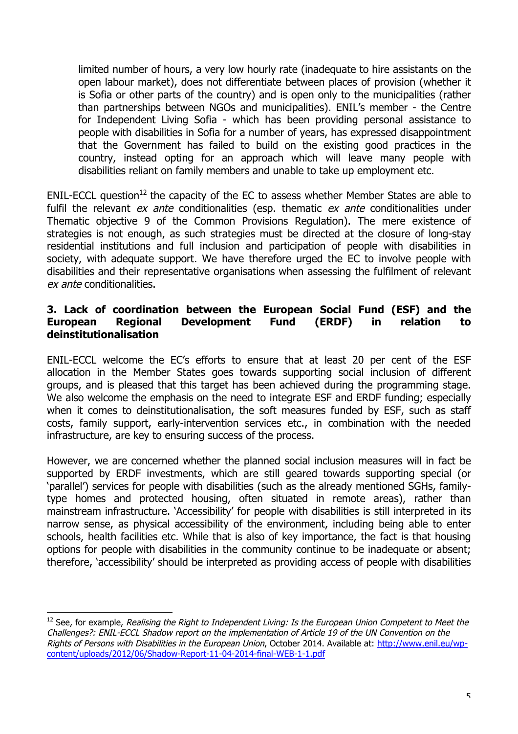limited number of hours, a very low hourly rate (inadequate to hire assistants on the open labour market), does not differentiate between places of provision (whether it is Sofia or other parts of the country) and is open only to the municipalities (rather than partnerships between NGOs and municipalities). ENIL's member - the Centre for Independent Living Sofia - which has been providing personal assistance to people with disabilities in Sofia for a number of years, has expressed disappointment that the Government has failed to build on the existing good practices in the country, instead opting for an approach which will leave many people with disabilities reliant on family members and unable to take up employment etc.

ENIL-ECCL question<sup>12</sup> the capacity of the EC to assess whether Member States are able to fulfil the relevant  $ex$  ante conditionalities (esp. thematic  $ex$  ante conditionalities under Thematic objective 9 of the Common Provisions Regulation). The mere existence of strategies is not enough, as such strategies must be directed at the closure of long-stay residential institutions and full inclusion and participation of people with disabilities in society, with adequate support. We have therefore urged the EC to involve people with disabilities and their representative organisations when assessing the fulfilment of relevant ex ante conditionalities.

### **3. Lack of coordination between the European Social Fund (ESF) and the European Regional Development Fund (ERDF) in relation to deinstitutionalisation**

ENIL-ECCL welcome the EC's efforts to ensure that at least 20 per cent of the ESF allocation in the Member States goes towards supporting social inclusion of different groups, and is pleased that this target has been achieved during the programming stage. We also welcome the emphasis on the need to integrate ESF and ERDF funding; especially when it comes to deinstitutionalisation, the soft measures funded by ESF, such as staff costs, family support, early-intervention services etc., in combination with the needed infrastructure, are key to ensuring success of the process.

However, we are concerned whether the planned social inclusion measures will in fact be supported by ERDF investments, which are still geared towards supporting special (or 'parallel') services for people with disabilities (such as the already mentioned SGHs, familytype homes and protected housing, often situated in remote areas), rather than mainstream infrastructure. 'Accessibility' for people with disabilities is still interpreted in its narrow sense, as physical accessibility of the environment, including being able to enter schools, health facilities etc. While that is also of key importance, the fact is that housing options for people with disabilities in the community continue to be inadequate or absent; therefore, 'accessibility' should be interpreted as providing access of people with disabilities

 $12$  See, for example, Realising the Right to Independent Living: Is the European Union Competent to Meet the Challenges?: ENIL-ECCL Shadow report on the implementation of Article 19 of the UN Convention on the Rights of Persons with Disabilities in the European Union, October 2014. Available at: http://www.enil.eu/wpcontent/uploads/2012/06/Shadow-Report-11-04-2014-final-WEB-1-1.pdf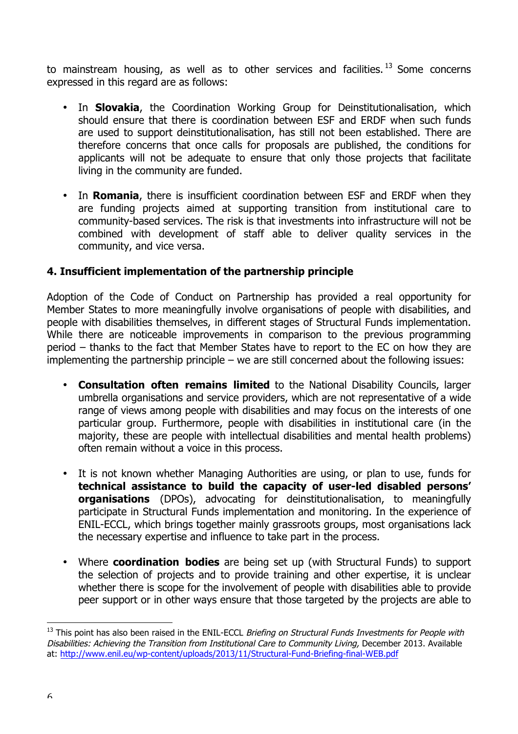to mainstream housing, as well as to other services and facilities.<sup>13</sup> Some concerns expressed in this regard are as follows:

- In **Slovakia**, the Coordination Working Group for Deinstitutionalisation, which should ensure that there is coordination between ESF and ERDF when such funds are used to support deinstitutionalisation, has still not been established. There are therefore concerns that once calls for proposals are published, the conditions for applicants will not be adequate to ensure that only those projects that facilitate living in the community are funded.
- In **Romania**, there is insufficient coordination between ESF and ERDF when they are funding projects aimed at supporting transition from institutional care to community-based services. The risk is that investments into infrastructure will not be combined with development of staff able to deliver quality services in the community, and vice versa.

## **4. Insufficient implementation of the partnership principle**

Adoption of the Code of Conduct on Partnership has provided a real opportunity for Member States to more meaningfully involve organisations of people with disabilities, and people with disabilities themselves, in different stages of Structural Funds implementation. While there are noticeable improvements in comparison to the previous programming period – thanks to the fact that Member States have to report to the EC on how they are implementing the partnership principle – we are still concerned about the following issues:

- **Consultation often remains limited** to the National Disability Councils, larger umbrella organisations and service providers, which are not representative of a wide range of views among people with disabilities and may focus on the interests of one particular group. Furthermore, people with disabilities in institutional care (in the majority, these are people with intellectual disabilities and mental health problems) often remain without a voice in this process.
- It is not known whether Managing Authorities are using, or plan to use, funds for **technical assistance to build the capacity of user-led disabled persons' organisations** (DPOs), advocating for deinstitutionalisation, to meaningfully participate in Structural Funds implementation and monitoring. In the experience of ENIL-ECCL, which brings together mainly grassroots groups, most organisations lack the necessary expertise and influence to take part in the process.
- Where **coordination bodies** are being set up (with Structural Funds) to support the selection of projects and to provide training and other expertise, it is unclear whether there is scope for the involvement of people with disabilities able to provide peer support or in other ways ensure that those targeted by the projects are able to

<sup>&</sup>lt;sup>13</sup> This point has also been raised in the ENIL-ECCL Briefing on Structural Funds Investments for People with Disabilities: Achieving the Transition from Institutional Care to Community Living, December 2013. Available at: http://www.enil.eu/wp-content/uploads/2013/11/Structural-Fund-Briefing-final-WEB.pdf